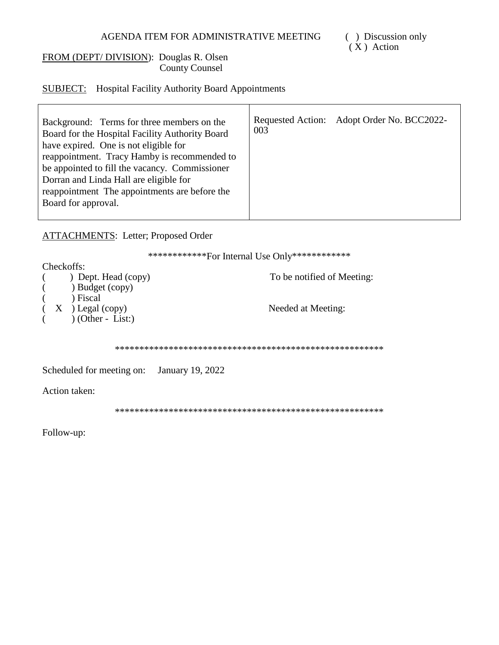### FROM (DEPT/DIVISION): Douglas R. Olsen **County Counsel**

## **SUBJECT:** Hospital Facility Authority Board Appointments

| Background: Terms for three members on the<br>Board for the Hospital Facility Authority Board<br>have expired. One is not eligible for<br>reappointment. Tracy Hamby is recommended to<br>be appointed to fill the vacancy. Commissioner | 003 | Requested Action: Adopt Order No. BCC2022- |
|------------------------------------------------------------------------------------------------------------------------------------------------------------------------------------------------------------------------------------------|-----|--------------------------------------------|
| Dorran and Linda Hall are eligible for                                                                                                                                                                                                   |     |                                            |
| reappointment. The appointments are before the                                                                                                                                                                                           |     |                                            |
| Board for approval.                                                                                                                                                                                                                      |     |                                            |
|                                                                                                                                                                                                                                          |     |                                            |

## **ATTACHMENTS:** Letter; Proposed Order

\*\*\*\*\*\*\*\*\*\*\*\*\*For Internal Use Only\*\*\*\*\*\*\*\*\*\*\*\*\*

| Checkoffs:                                    |                            |
|-----------------------------------------------|----------------------------|
| $\rightarrow$ Dept. Head (copy)<br>$\sqrt{2}$ | To be notified of Meeting: |
| $(\hspace{1cm})$ Budget (copy)                |                            |
| ) Fiscal<br>$\left($                          |                            |
| $(X)$ Legal (copy)                            | Needed at Meeting:         |
| $\bigcirc$ (Other - List:)<br>$\sqrt{2}$      |                            |
|                                               |                            |

Scheduled for meeting on: January 19, 2022

Action taken:

Follow-up: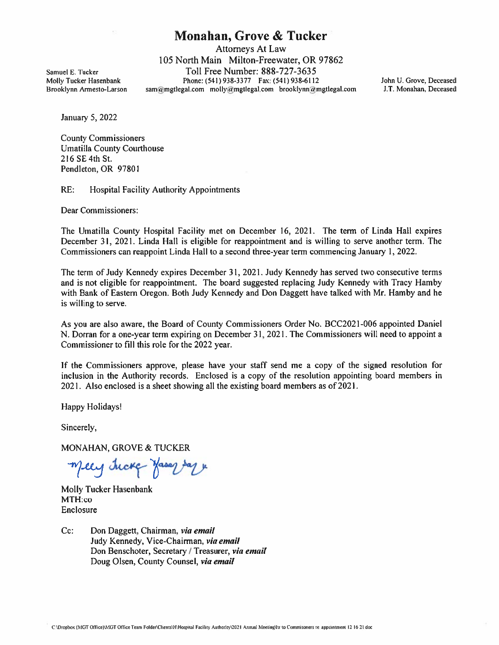# Monahan, Grove & Tucker

Attorneys At Law 105 North Main Milton-Freewater, OR 97862 Samuel E. Tucker Toll Free Number: 888-727-3635 Molly Tucker Hasenbank Phone: (541) 938-3377 Fax: (541) 938-6112 John U. Grove, Deceased Brooklynn Armesto-Larson sam@mgtlegal.com molly@mgtlegal.com brooklynn@mgtlegal.com J.T. Monahan, Deceased

January 5, 2022

County Commissioners Umatilla County Courthouse 216 SE 4th St. Pendleton, OR 97801

RE: Hospital Facility Authority Appointments

Dear Commissioners:

The Umatilla County Hospital Facility met on December 16, 2021. The term of Linda Hall expires December 31, 2021. Linda Hall is eligible for reappointment and is willing to serve another term. The Commissioners can reappoint Linda Hall to <sup>a</sup> second three-year term commencing January 1,2022.

The term of Judy Kennedy expires December 31, 2021. Judy Kennedy has served two consecutive terms and is not eligible for reappointment. The board suggested replacing Judy Kennedy with Tracy Hamby with Bank of Eastern Oregon. Both Judy Kennedy and Don Daggett have talked with Mr. Hamby and he is willing to serve.

As you are also aware, the Board of County Commissioners Order No. BCC2O2I-006 appointed Daniel N. Dorran for <sup>a</sup> one-year term expiring on December31, 2021. The Commissioners will need to appoint <sup>a</sup> Commissioner to fill this role for the 2022 year.

If the Commissioners approve, please have your staff send me <sup>a</sup> copy of the signed resolution for inclusion in the Authority records. Enclosed is <sup>a</sup> copy of the resolution appointing board members in 2021. Also enclosed is <sup>a</sup> sheet showing all the existing board members as of 2021.

Happy Holidaysl

Sincerely.

MONAHAN, GROVE & TUCKER

meey tucke Hasar Day

Molly Tucker Hasenbank MTH:co Enclosure

Cc: Don Daggett, Chairman, via email Judy Kennedy, Vice-Chairman, via email Don Benschoter, Secretary / Treasurer, via email Doug Olsen, County Counsel, via email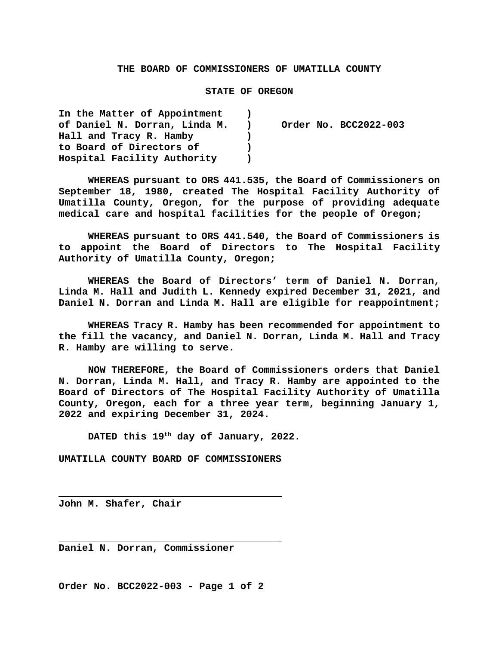### **THE BOARD OF COMMISSIONERS OF UMATILLA COUNTY**

### **STATE OF OREGON**

| In the Matter of Appointment  |                |                       |
|-------------------------------|----------------|-----------------------|
| of Daniel N. Dorran, Linda M. | $\blacksquare$ | Order No. BCC2022-003 |
| Hall and Tracy R. Hamby       |                |                       |
| to Board of Directors of      |                |                       |
| Hospital Facility Authority   |                |                       |

**WHEREAS pursuant to ORS 441.535, the Board of Commissioners on September 18, 1980, created The Hospital Facility Authority of Umatilla County, Oregon, for the purpose of providing adequate medical care and hospital facilities for the people of Oregon;**

**WHEREAS pursuant to ORS 441.540, the Board of Commissioners is to appoint the Board of Directors to The Hospital Facility Authority of Umatilla County, Oregon;**

**WHEREAS the Board of Directors' term of Daniel N. Dorran, Linda M. Hall and Judith L. Kennedy expired December 31, 2021, and Daniel N. Dorran and Linda M. Hall are eligible for reappointment;**

**WHEREAS Tracy R. Hamby has been recommended for appointment to the fill the vacancy, and Daniel N. Dorran, Linda M. Hall and Tracy R. Hamby are willing to serve.**

**NOW THEREFORE, the Board of Commissioners orders that Daniel N. Dorran, Linda M. Hall, and Tracy R. Hamby are appointed to the Board of Directors of The Hospital Facility Authority of Umatilla County, Oregon, each for a three year term, beginning January 1, 2022 and expiring December 31, 2024.**

**DATED this 19th day of January, 2022.** 

**UMATILLA COUNTY BOARD OF COMMISSIONERS**

**John M. Shafer, Chair**

**Daniel N. Dorran, Commissioner**

**Order No. BCC2022-003 - Page 1 of 2**